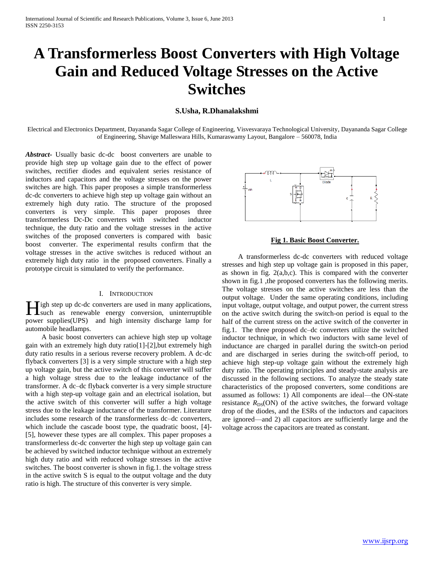# **A Transformerless Boost Converters with High Voltage Gain and Reduced Voltage Stresses on the Active Switches**

## **S.Usha, R.Dhanalakshmi**

Electrical and Electronics Department, Dayananda Sagar College of Engineering, Visvesvaraya Technological University, Dayananda Sagar College of Engineering, Shavige Malleswara Hills, Kumaraswamy Layout, Bangalore – 560078, India

*Abstract***-** Usually basic dc-dc boost converters are unable to provide high step up voltage gain due to the effect of power switches, rectifier diodes and equivalent series resistance of inductors and capacitors and the voltage stresses on the power switches are high. This paper proposes a simple transformerless dc-dc converters to achieve high step up voltage gain without an extremely high duty ratio. The structure of the proposed converters is very simple. This paper proposes three transformerless Dc-Dc converters with switched inductor technique, the duty ratio and the voltage stresses in the active switches of the proposed converters is compared with basic boost converter. The experimental results confirm that the voltage stresses in the active switches is reduced without an extremely high duty ratio in the proposed converters. Finally a prototype circuit is simulated to verify the performance.

#### I. INTRODUCTION

**Tigh step up dc-dc converters are used in many applications,** High step up dc-dc converters are used in many applications,<br>such as renewable energy conversion, uninterruptible power supplies(UPS) and high intensity discharge lamp for automobile headlamps.

 A basic boost converters can achieve high step up voltage gain with an extremely high duty ratio[1]-[2],but extremely high duty ratio results in a serious reverse recovery problem. A dc-dc flyback converters [3] is a very simple structure with a high step up voltage gain, but the active switch of this converter will suffer a high voltage stress due to the leakage inductance of the transformer. A dc–dc flyback converter is a very simple structure with a high step-up voltage gain and an electrical isolation, but the active switch of this converter will suffer a high voltage stress due to the leakage inductance of the transformer. Literature includes some research of the transformerless dc–dc converters, which include the cascade boost type, the quadratic boost, [4]- [5], however these types are all complex. This paper proposes a transformerless dc-dc converter the high step up voltage gain can be achieved by switched inductor technique without an extremely high duty ratio and with reduced voltage stresses in the active switches. The boost converter is shown in fig.1. the voltage stress in the active switch S is equal to the output voltage and the duty ratio is high. The structure of this converter is very simple.



#### **Fig 1. Basic Boost Converter.**

 A transformerless dc-dc converters with reduced voltage stresses and high step up voltage gain is proposed in this paper, as shown in fig.  $2(a,b,c)$ . This is compared with the converter shown in fig.1 ,the proposed converters has the following merits. The voltage stresses on the active switches are less than the output voltage. Under the same operating conditions, including input voltage, output voltage, and output power, the current stress on the active switch during the switch-on period is equal to the half of the current stress on the active switch of the converter in fig.1. The three proposed dc–dc converters utilize the switched inductor technique, in which two inductors with same level of inductance are charged in parallel during the switch-on period and are discharged in series during the switch-off period, to achieve high step-up voltage gain without the extremely high duty ratio. The operating principles and steady-state analysis are discussed in the following sections. To analyze the steady state characteristics of the proposed converters, some conditions are assumed as follows: 1) All components are ideal—the ON-state resistance  $R_{DS}(ON)$  of the active switches, the forward voltage drop of the diodes, and the ESRs of the inductors and capacitors are ignored—and 2) all capacitors are sufficiently large and the voltage across the capacitors are treated as constant.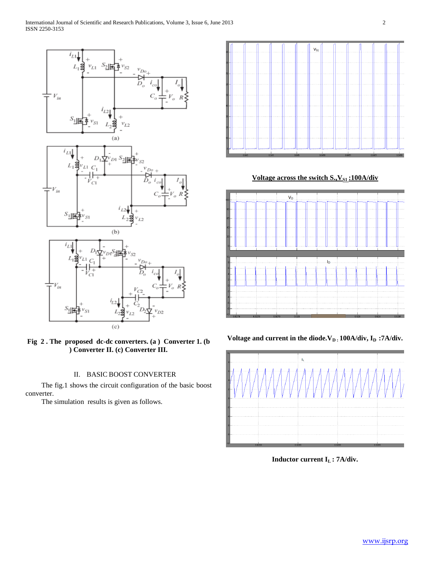

**Fig 2 . The proposed dc-dc converters. (a ) Converter 1. (b ) Converter II. (c) Converter III.**

## II. BASIC BOOST CONVERTER

 The fig.1 shows the circuit configuration of the basic boost converter.

The simulation results is given as follows.



Voltage across the switch S., V<sub>S1</sub>:100A/div



**Voltage and current in the diode.VD : 100A/div, ID :7A/div.**



**Inductor current IL : 7A/div.**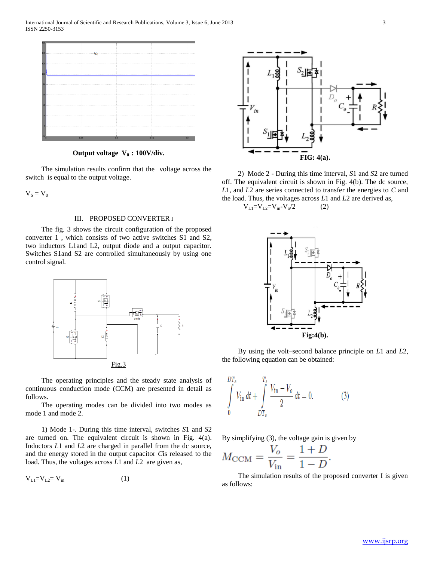

**Output voltage V0 : 100V/div.**

 The simulation results confirm that the voltage across the switch is equal to the output voltage.

 $V_S = V_0$ 

#### III. PROPOSED CONVERTER I

 The fig. 3 shows the circuit configuration of the proposed converter 1 , which consists of two active switches S1 and S2, two inductors L1and L2, output diode and a output capacitor. Switches S1and S2 are controlled simultaneously by using one control signal.



 The operating principles and the steady state analysis of continuous conduction mode (CCM) are presented in detail as follows.

 The operating modes can be divided into two modes as mode 1 and mode 2.

 1) Mode 1-. During this time interval, switches *S*1 and *S*2 are turned on. The equivalent circuit is shown in Fig. 4(a). Inductors *L*1 and *L*2 are charged in parallel from the dc source, and the energy stored in the output capacitor *C*is released to the load. Thus, the voltages across *L*1 and *L*2 are given as,

$$
V_{L1} = V_{L2} = V_{in} \tag{1}
$$



 2) Mode 2 - During this time interval, *S*1 and *S*2 are turned off. The equivalent circuit is shown in Fig. 4(b). The dc source, *L*1, and *L*2 are series connected to transfer the energies to *C* and the load. Thus, the voltages across *L*1 and *L*2 are derived as,  $V_{L1}=V_{L2}=V_{in}-V_{o}/2$  (2)



 By using the volt–second balance principle on *L*1 and *L*2, the following equation can be obtained:

$$
\int_{0}^{DT_s} V_{\text{in}} dt + \int_{DT_s}^{T_s} \frac{V_{\text{in}} - V_o}{2} dt = 0.
$$
 (3)

By simplifying (3), the voltage gain is given by

$$
M_{\text{CCM}} = \frac{V_o}{V_{\text{in}}} = \frac{1+D}{1-D}.
$$

 The simulation results of the proposed converter I is given as follows: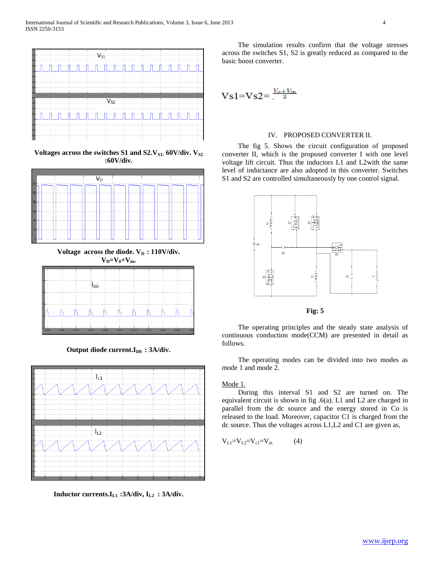

Voltages across the switches S1 and S2.V<sub>S1:</sub> 60V/div. V<sub>S2</sub> **:60V/div.**



Voltage across the diode.  $V<sub>D</sub>$  **: 110V/div.**  $V_{D} = V_{0} + V_{in}$ 



Output diode current.I<sub>D0</sub> : 3A/div.



**Inductor currents.IL1 :3A/div, IL2 : 3A/div.**

 The simulation results confirm that the voltage stresses across the switches S1, S2 is greatly reduced as compared to the basic boost converter.

$$
Vsl = Vs2 = \frac{V_o + V_{in}}{2}
$$

#### IV. PROPOSED CONVERTER II.

 The fig 5. Shows the circuit configuration of proposed converter II, which is the proposed converter I with one level voltage lift circuit. Thus the inductors L1 and L2with the same level of inductance are also adopted in this converter. Switches S1 and S2 are controlled simultaneously by one control signal.



**Fig: 5**

 The operating principles and the steady state analysis of continuous conduction mode(CCM) are presented in detail as follows.

 The operating modes can be divided into two modes as mode 1 and mode 2.

### Mode 1.

 During this interval S1 and S2 are turned on. The equivalent circuit is shown in fig .6(a). L1 and L2 are charged in parallel from the dc source and the energy stored in Co is released to the load. Moreover, capacitor C1 is charged from the dc source. Thus the voltages across L1,L2 and C1 are given as,

$$
V_{L1} = V_{L2} = V_{c1} = V_{in} \tag{4}
$$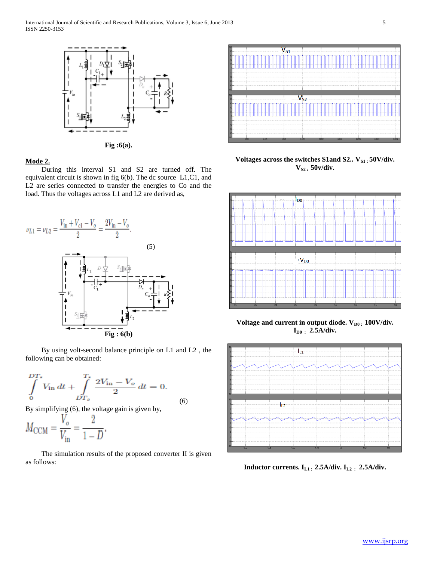

**Fig :6(a).**

## **Mode 2.**

 During this interval S1 and S2 are turned off. The equivalent circuit is shown in fig 6(b). The dc source L1,C1, and L2 are series connected to transfer the energies to Co and the load. Thus the voltages across L1 and L2 are derived as,



 By using volt-second balance principle on L1 and L2 , the following can be obtained:

$$
\int_{0}^{DT_{s}} V_{\text{in}} dt + \int_{DT_{s}}^{T_{s}} \frac{2V_{\text{in}} - V_{o}}{2} dt = 0.
$$
  
By simplifying (6), the voltage gain is given by. (6)

By simplifying (6), the v

$$
M_{\text{CCM}} = \frac{V_o}{V_{\text{in}}} = \frac{2}{1 - D}.
$$

 The simulation results of the proposed converter II is given as follows:



Voltages across the switches S1and S2.. V<sub>S1</sub>: 50V/div. **VS2 : 50v/div.**



Voltage and current in output diode.  $V_{D0}$ : 100V/div. **ID0 : 2.5A/div.**



**Inductor currents. IL1 : 2.5A/div. IL2 : 2.5A/div.**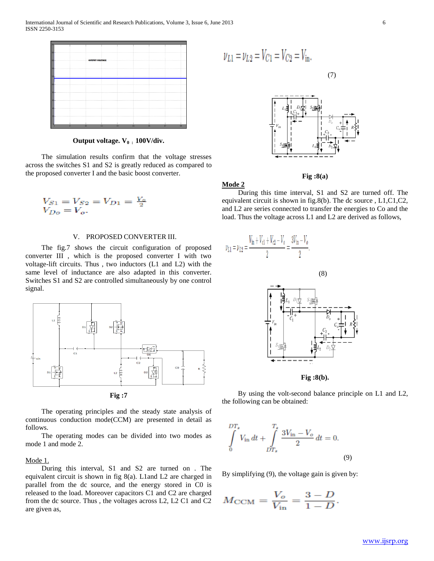

**Output voltage. V0 : 100V/div.**

 The simulation results confirm that the voltage stresses across the switches S1 and S2 is greatly reduced as compared to the proposed converter I and the basic boost converter.

$$
V_{S1} = V_{S2} = V_{D1} = \frac{V_o}{2}
$$
  

$$
V_{Do} = V_o.
$$

#### V. PROPOSED CONVERTER III.

 The fig.7 shows the circuit configuration of proposed converter III , which is the proposed converter I with two voltage-lift circuits. Thus , two inductors (L1 and L2) with the same level of inductance are also adapted in this converter. Switches S1 and S2 are controlled simultaneously by one control signal.



**Fig :7**

 The operating principles and the steady state analysis of continuous conduction mode(CCM) are presented in detail as follows.

 The operating modes can be divided into two modes as mode 1 and mode 2.

#### Mode 1.

 During this interval, S1 and S2 are turned on . The equivalent circuit is shown in fig 8(a). L1and L2 are charged in parallel from the dc source, and the energy stored in C0 is released to the load. Moreover capacitors C1 and C2 are charged from the dc source. Thus , the voltages across L2, L2 C1 and C2 are given as,

$$
\nu_{L1} = \nu_{L2} = V_{C1} = V_{C2} = V_{\text{in}}.
$$



(7)

**Fig :8(a)**

**Mode 2**

 During this time interval, S1 and S2 are turned off. The equivalent circuit is shown in fig.8(b). The dc source , L1,C1,C2, and L2 are series connected to transfer the energies to Co and the load. Thus the voltage across L1 and L2 are derived as follows,



 By using the volt-second balance principle on L1 and L2, the following can be obtained:

$$
\int_{0}^{DT_{s}} V_{\text{in}} dt + \int_{DT_{s}}^{T_{s}} \frac{3V_{\text{in}} - V_{o}}{2} dt = 0.
$$
\n(9)

By simplifying (9), the voltage gain is given by:

$$
M_{\text{CCM}} = \frac{V_o}{V_{\text{in}}} = \frac{3 - D}{1 - D}.
$$

www.ijsrp.org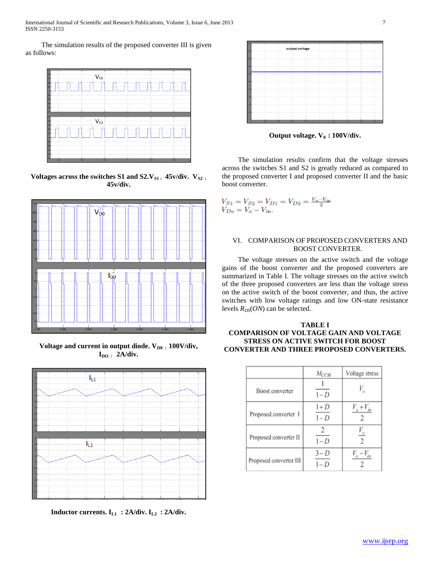International Journal of Scientific and Research Publications, Volume 3, Issue 6, June 2013 7 ISSN 2250-3153

 The simulation results of the proposed converter III is given as follows:



Voltages across the switches S1 and S2.V<sub>S1</sub>: 45v/div. V<sub>S2</sub>: **45v/div.**



Voltage and current in output diode.  $V_{D0}$ : 100V/div, **IDO : 2A/div.**



**Inductor currents. IL1 : 2A/div. IL2 : 2A/div.**



**Output voltage. V0 : 100V/div.**

 The simulation results confirm that the voltage stresses across the switches S1 and S2 is greatly reduced as compared to the proposed converter I and proposed converter II and the basic boost converter.

$$
V_{S1} = V_{S2} = V_{D1} = V_{D2} = \frac{V_o - V_{\text{in}}}{2}
$$
  

$$
V_{Do} = V_o - V_{\text{in}}.
$$

## VI. COMPARISON OF PROPOSED CONVERTERS AND BOOST CONVERTER.

 The voltage stresses on the active switch and the voltage gains of the boost converter and the proposed converters are summarized in Table I. The voltage stresses on the active switch of the three proposed converters are less than the voltage stress on the active switch of the boost converter, and thus, the active switches with low voltage ratings and low ON-state resistance levels  $R_{DS}(ON)$  can be selected.

## **TABLE I COMPARISON OF VOLTAGE GAIN AND VOLTAGE STRESS ON ACTIVE SWITCH FOR BOOST CONVERTER AND THREE PROPOSED CONVERTERS.**

|                        | $M_{CCM}$      | Voltage stress                                       |
|------------------------|----------------|------------------------------------------------------|
| Boost converter        | $1-D$          | V,                                                   |
| Proposed converter I   | $1+D$<br>$1-D$ | $V_o + V_{in}$                                       |
| Proposed converter II  | 2<br>$1-D$     | $\frac{V_o}{\sqrt{2}}$<br>$\overline{2}$             |
| Proposed converter III | $3-D$<br>$1-D$ | $V_{\scriptscriptstyle n}-V_{\scriptscriptstyle in}$ |